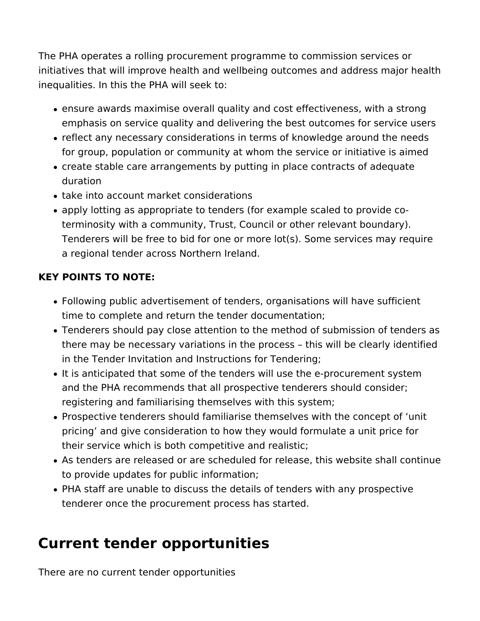The PHA operates a rolling procurement programme to commission services or initiatives that will improve health and wellbeing outcomes and address major health inequalities. In this the PHA will seek to:

- ensure awards maximise overall quality and cost effectiveness, with a strong emphasis on service quality and delivering the best outcomes for service users
- reflect any necessary considerations in terms of knowledge around the needs for group, population or community at whom the service or initiative is aimed
- create stable care arrangements by putting in place contracts of adequate duration
- take into account market considerations
- apply lotting as appropriate to tenders (for example scaled to provide coterminosity with a community, Trust, Council or other relevant boundary). Tenderers will be free to bid for one or more lot(s). Some services may require a regional tender across Northern Ireland.

## **KEY POINTS TO NOTE:**

- Following public advertisement of tenders, organisations will have sufficient time to complete and return the tender documentation;
- Tenderers should pay close attention to the method of submission of tenders as there may be necessary variations in the process – this will be clearly identified in the Tender Invitation and Instructions for Tendering;
- It is anticipated that some of the tenders will use the e-procurement system and the PHA recommends that all prospective tenderers should consider; registering and familiarising themselves with this system;
- Prospective tenderers should familiarise themselves with the concept of 'unit pricing' and give consideration to how they would formulate a unit price for their service which is both competitive and realistic;
- As tenders are released or are scheduled for release, this website shall continue to provide updates for public information;
- PHA staff are unable to discuss the details of tenders with any prospective tenderer once the procurement process has started.

## **Current tender opportunities**

There are no current tender opportunities